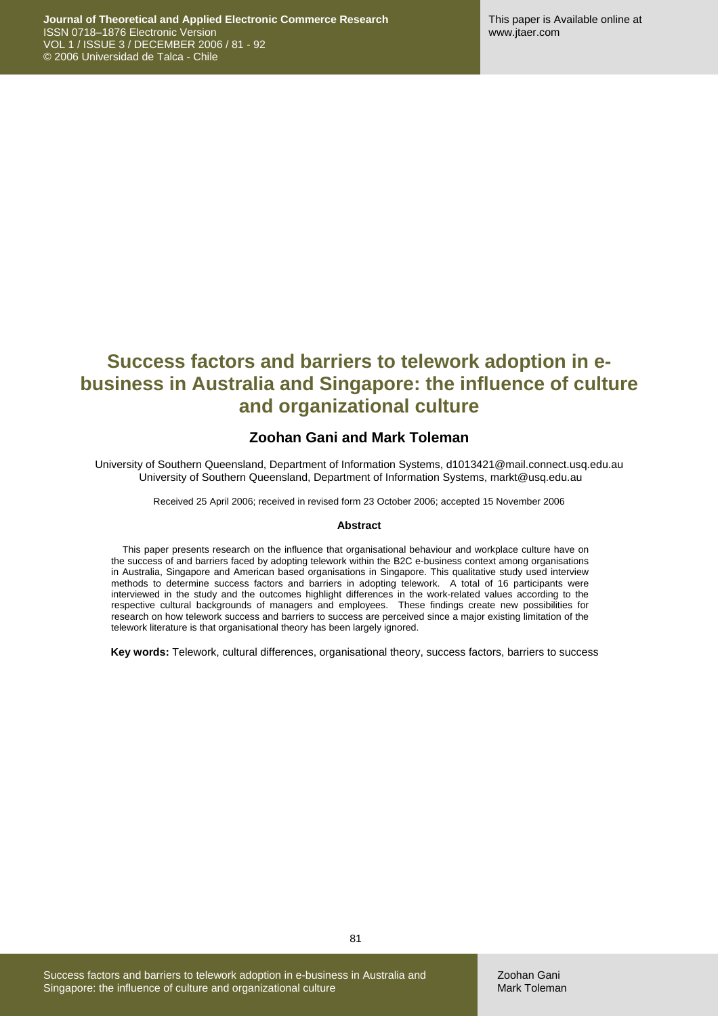# **Success factors and barriers to telework adoption in ebusiness in Australia and Singapore: the influence of culture and organizational culture**

### **Zoohan Gani and Mark Toleman**

University of Southern Queensland, Department of Information Systems, d1013421@mail.connect.usq.edu.au University of Southern Queensland, Department of Information Systems, markt@usq.edu.au

Received 25 April 2006; received in revised form 23 October 2006; accepted 15 November 2006

#### **Abstract**

This paper presents research on the influence that organisational behaviour and workplace culture have on the success of and barriers faced by adopting telework within the B2C e-business context among organisations in Australia, Singapore and American based organisations in Singapore. This qualitative study used interview methods to determine success factors and barriers in adopting telework. A total of 16 participants were interviewed in the study and the outcomes highlight differences in the work-related values according to the respective cultural backgrounds of managers and employees. These findings create new possibilities for research on how telework success and barriers to success are perceived since a major existing limitation of the telework literature is that organisational theory has been largely ignored.

**Key words:** Telework, cultural differences, organisational theory, success factors, barriers to success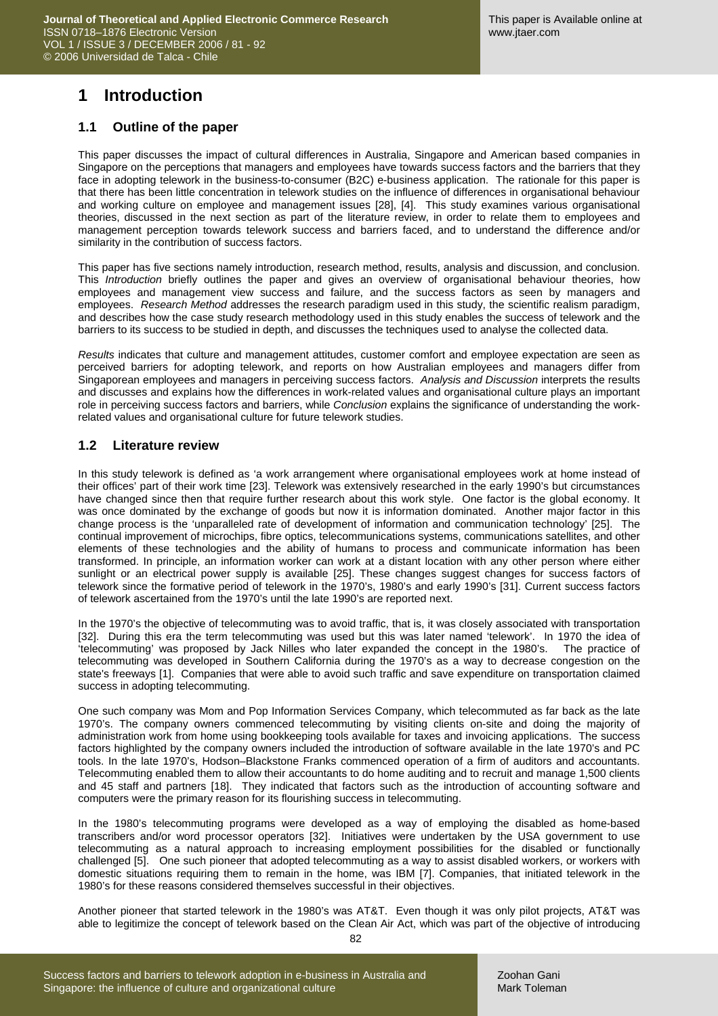## **1 Introduction**

#### **1.1 Outline of the paper**

This paper discusses the impact of cultural differences in Australia, Singapore and American based companies in Singapore on the perceptions that managers and employees have towards success factors and the barriers that they face in adopting telework in the business-to-consumer (B2C) e-business application. The rationale for this paper is that there has been little concentration in telework studies on the influence of differences in organisational behaviour and working culture on employee and management issues [28], [4]. This study examines various organisational theories, discussed in the next section as part of the literature review, in order to relate them to employees and management perception towards telework success and barriers faced, and to understand the difference and/or similarity in the contribution of success factors.

This paper has five sections namely introduction, research method, results, analysis and discussion, and conclusion. This *Introduction* briefly outlines the paper and gives an overview of organisational behaviour theories, how employees and management view success and failure, and the success factors as seen by managers and employees. *Research Method* addresses the research paradigm used in this study, the scientific realism paradigm, and describes how the case study research methodology used in this study enables the success of telework and the barriers to its success to be studied in depth, and discusses the techniques used to analyse the collected data.

*Results* indicates that culture and management attitudes, customer comfort and employee expectation are seen as perceived barriers for adopting telework, and reports on how Australian employees and managers differ from Singaporean employees and managers in perceiving success factors. *Analysis and Discussion* interprets the results and discusses and explains how the differences in work-related values and organisational culture plays an important role in perceiving success factors and barriers, while *Conclusion* explains the significance of understanding the workrelated values and organisational culture for future telework studies.

### **1.2 Literature review**

In this study telework is defined as 'a work arrangement where organisational employees work at home instead of their offices' part of their work time [23]. Telework was extensively researched in the early 1990's but circumstances have changed since then that require further research about this work style. One factor is the global economy. It was once dominated by the exchange of goods but now it is information dominated. Another major factor in this change process is the 'unparalleled rate of development of information and communication technology' [25]. The continual improvement of microchips, fibre optics, telecommunications systems, communications satellites, and other elements of these technologies and the ability of humans to process and communicate information has been transformed. In principle, an information worker can work at a distant location with any other person where either sunlight or an electrical power supply is available [25]. These changes suggest changes for success factors of telework since the formative period of telework in the 1970's, 1980's and early 1990's [31]. Current success factors of telework ascertained from the 1970's until the late 1990's are reported next.

In the 1970's the objective of telecommuting was to avoid traffic, that is, it was closely associated with transportation [32]. During this era the term telecommuting was used but this was later named 'telework'. In 1970 the idea of 'telecommuting' was proposed by Jack Nilles who later expanded the concept in the 1980's. The practice of telecommuting was developed in Southern California during the 1970's as a way to decrease congestion on the state's freeways [1]. Companies that were able to avoid such traffic and save expenditure on transportation claimed success in adopting telecommuting.

One such company was Mom and Pop Information Services Company, which telecommuted as far back as the late 1970's. The company owners commenced telecommuting by visiting clients on-site and doing the majority of administration work from home using bookkeeping tools available for taxes and invoicing applications. The success factors highlighted by the company owners included the introduction of software available in the late 1970's and PC tools. In the late 1970's, Hodson–Blackstone Franks commenced operation of a firm of auditors and accountants. Telecommuting enabled them to allow their accountants to do home auditing and to recruit and manage 1,500 clients and 45 staff and partners [18]. They indicated that factors such as the introduction of accounting software and computers were the primary reason for its flourishing success in telecommuting.

In the 1980's telecommuting programs were developed as a way of employing the disabled as home-based transcribers and/or word processor operators [32]. Initiatives were undertaken by the USA government to use telecommuting as a natural approach to increasing employment possibilities for the disabled or functionally challenged [5]. One such pioneer that adopted telecommuting as a way to assist disabled workers, or workers with domestic situations requiring them to remain in the home, was IBM [7]. Companies, that initiated telework in the 1980's for these reasons considered themselves successful in their objectives.

Another pioneer that started telework in the 1980's was AT&T. Even though it was only pilot projects, AT&T was able to legitimize the concept of telework based on the Clean Air Act, which was part of the objective of introducing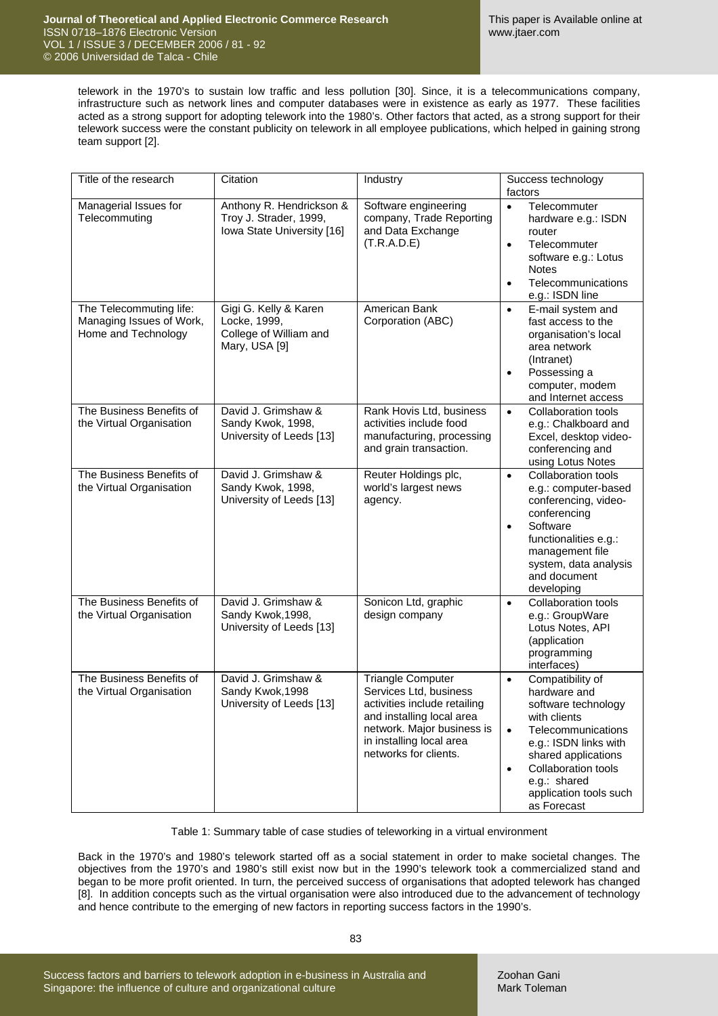telework in the 1970's to sustain low traffic and less pollution [30]. Since, it is a telecommunications company, infrastructure such as network lines and computer databases were in existence as early as 1977. These facilities acted as a strong support for adopting telework into the 1980's. Other factors that acted, as a strong support for their telework success were the constant publicity on telework in all employee publications, which helped in gaining strong team support [2].

| Title of the research                                                      | Citation                                                                         | Industry                                                                                                                                                                                           | Success technology<br>factors                                                                                                                                                                                                                                        |
|----------------------------------------------------------------------------|----------------------------------------------------------------------------------|----------------------------------------------------------------------------------------------------------------------------------------------------------------------------------------------------|----------------------------------------------------------------------------------------------------------------------------------------------------------------------------------------------------------------------------------------------------------------------|
| Managerial Issues for<br>Telecommuting                                     | Anthony R. Hendrickson &<br>Troy J. Strader, 1999,<br>Iowa State University [16] | Software engineering<br>company, Trade Reporting<br>and Data Exchange<br>(T.R.A.D.E)                                                                                                               | Telecommuter<br>$\bullet$<br>hardware e.g.: ISDN<br>router<br>Telecommuter<br>$\bullet$<br>software e.g.: Lotus<br><b>Notes</b><br>Telecommunications<br>$\bullet$<br>e.g.: ISDN line                                                                                |
| The Telecommuting life:<br>Managing Issues of Work,<br>Home and Technology | Gigi G. Kelly & Karen<br>Locke, 1999,<br>College of William and<br>Mary, USA [9] | American Bank<br>Corporation (ABC)                                                                                                                                                                 | E-mail system and<br>$\bullet$<br>fast access to the<br>organisation's local<br>area network<br>(Intranet)<br>Possessing a<br>$\bullet$<br>computer, modem<br>and Internet access                                                                                    |
| The Business Benefits of<br>the Virtual Organisation                       | David J. Grimshaw &<br>Sandy Kwok, 1998,<br>University of Leeds [13]             | Rank Hovis Ltd, business<br>activities include food<br>manufacturing, processing<br>and grain transaction.                                                                                         | <b>Collaboration tools</b><br>$\bullet$<br>e.g.: Chalkboard and<br>Excel, desktop video-<br>conferencing and<br>using Lotus Notes                                                                                                                                    |
| The Business Benefits of<br>the Virtual Organisation                       | David J. Grimshaw &<br>Sandy Kwok, 1998,<br>University of Leeds [13]             | Reuter Holdings plc,<br>world's largest news<br>agency.                                                                                                                                            | <b>Collaboration tools</b><br>$\bullet$<br>e.g.: computer-based<br>conferencing, video-<br>conferencing<br>Software<br>$\bullet$<br>functionalities e.g.:<br>management file<br>system, data analysis<br>and document<br>developing                                  |
| The Business Benefits of<br>the Virtual Organisation                       | David J. Grimshaw &<br>Sandy Kwok, 1998,<br>University of Leeds [13]             | Sonicon Ltd, graphic<br>design company                                                                                                                                                             | <b>Collaboration tools</b><br>$\bullet$<br>e.g.: GroupWare<br>Lotus Notes, API<br>(application<br>programming<br>interfaces)                                                                                                                                         |
| The Business Benefits of<br>the Virtual Organisation                       | David J. Grimshaw &<br>Sandy Kwok, 1998<br>University of Leeds [13]              | <b>Triangle Computer</b><br>Services Ltd, business<br>activities include retailing<br>and installing local area<br>network. Major business is<br>in installing local area<br>networks for clients. | Compatibility of<br>$\bullet$<br>hardware and<br>software technology<br>with clients<br>Telecommunications<br>$\bullet$<br>e.g.: ISDN links with<br>shared applications<br>Collaboration tools<br>$\bullet$<br>e.g.: shared<br>application tools such<br>as Forecast |

Table 1: Summary table of case studies of teleworking in a virtual environment

Back in the 1970's and 1980's telework started off as a social statement in order to make societal changes. The objectives from the 1970's and 1980's still exist now but in the 1990's telework took a commercialized stand and began to be more profit oriented. In turn, the perceived success of organisations that adopted telework has changed [8]. In addition concepts such as the virtual organisation were also introduced due to the advancement of technology and hence contribute to the emerging of new factors in reporting success factors in the 1990's.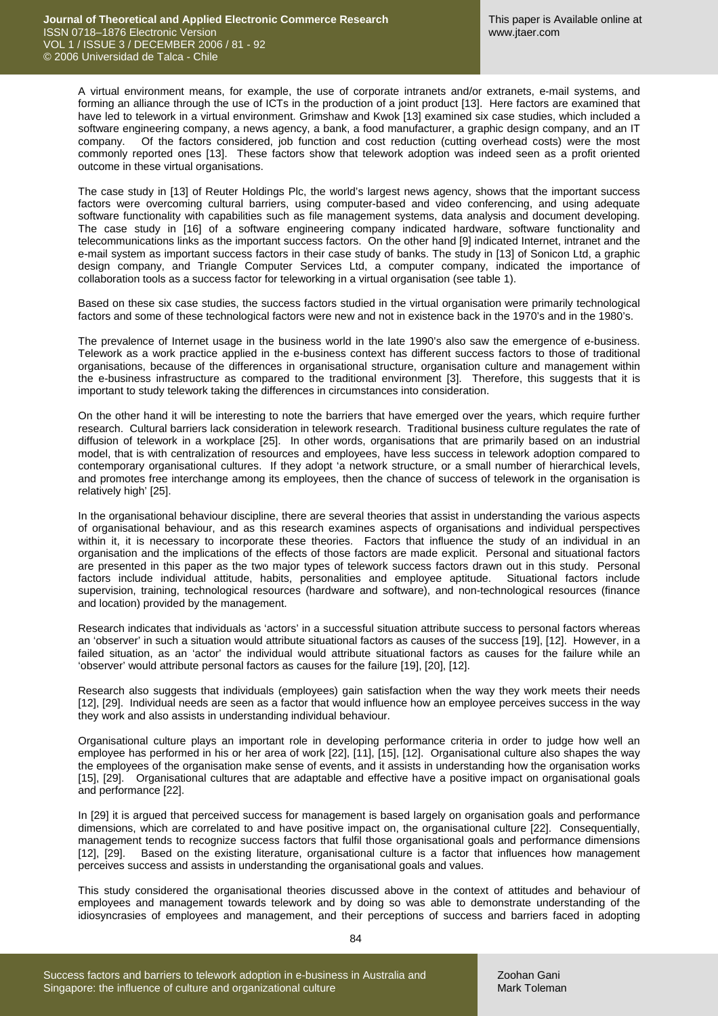A virtual environment means, for example, the use of corporate intranets and/or extranets, e-mail systems, and forming an alliance through the use of ICTs in the production of a joint product [13]. Here factors are examined that have led to telework in a virtual environment. Grimshaw and Kwok [13] examined six case studies, which included a software engineering company, a news agency, a bank, a food manufacturer, a graphic design company, and an IT company. Of the factors considered, job function and cost reduction (cutting overhead costs) were the most commonly reported ones [13]. These factors show that telework adoption was indeed seen as a profit oriented outcome in these virtual organisations.

The case study in [13] of Reuter Holdings Plc, the world's largest news agency, shows that the important success factors were overcoming cultural barriers, using computer-based and video conferencing, and using adequate software functionality with capabilities such as file management systems, data analysis and document developing. The case study in [16] of a software engineering company indicated hardware, software functionality and telecommunications links as the important success factors. On the other hand [9] indicated Internet, intranet and the e-mail system as important success factors in their case study of banks. The study in [13] of Sonicon Ltd, a graphic design company, and Triangle Computer Services Ltd, a computer company, indicated the importance of collaboration tools as a success factor for teleworking in a virtual organisation (see table 1).

Based on these six case studies, the success factors studied in the virtual organisation were primarily technological factors and some of these technological factors were new and not in existence back in the 1970's and in the 1980's.

The prevalence of Internet usage in the business world in the late 1990's also saw the emergence of e-business. Telework as a work practice applied in the e-business context has different success factors to those of traditional organisations, because of the differences in organisational structure, organisation culture and management within the e-business infrastructure as compared to the traditional environment [3]. Therefore, this suggests that it is important to study telework taking the differences in circumstances into consideration.

On the other hand it will be interesting to note the barriers that have emerged over the years, which require further research. Cultural barriers lack consideration in telework research. Traditional business culture regulates the rate of diffusion of telework in a workplace [25]. In other words, organisations that are primarily based on an industrial model, that is with centralization of resources and employees, have less success in telework adoption compared to contemporary organisational cultures. If they adopt 'a network structure, or a small number of hierarchical levels, and promotes free interchange among its employees, then the chance of success of telework in the organisation is relatively high' [25].

In the organisational behaviour discipline, there are several theories that assist in understanding the various aspects of organisational behaviour, and as this research examines aspects of organisations and individual perspectives within it, it is necessary to incorporate these theories. Factors that influence the study of an individual in an organisation and the implications of the effects of those factors are made explicit. Personal and situational factors are presented in this paper as the two major types of telework success factors drawn out in this study. Personal factors include individual attitude, habits, personalities and employee aptitude. Situational factors include supervision, training, technological resources (hardware and software), and non-technological resources (finance and location) provided by the management.

Research indicates that individuals as 'actors' in a successful situation attribute success to personal factors whereas an 'observer' in such a situation would attribute situational factors as causes of the success [19], [12]. However, in a failed situation, as an 'actor' the individual would attribute situational factors as causes for the failure while an 'observer' would attribute personal factors as causes for the failure [19], [20], [12].

Research also suggests that individuals (employees) gain satisfaction when the way they work meets their needs [12], [29]. Individual needs are seen as a factor that would influence how an employee perceives success in the way they work and also assists in understanding individual behaviour.

Organisational culture plays an important role in developing performance criteria in order to judge how well an employee has performed in his or her area of work [22], [11], [15], [12]. Organisational culture also shapes the way the employees of the organisation make sense of events, and it assists in understanding how the organisation works [15], [29]. Organisational cultures that are adaptable and effective have a positive impact on organisational goals and performance [22].

In [29] it is argued that perceived success for management is based largely on organisation goals and performance dimensions, which are correlated to and have positive impact on, the organisational culture [22]. Consequentially, management tends to recognize success factors that fulfil those organisational goals and performance dimensions [12], [29]. Based on the existing literature, organisational culture is a factor that influences how management perceives success and assists in understanding the organisational goals and values.

This study considered the organisational theories discussed above in the context of attitudes and behaviour of employees and management towards telework and by doing so was able to demonstrate understanding of the idiosyncrasies of employees and management, and their perceptions of success and barriers faced in adopting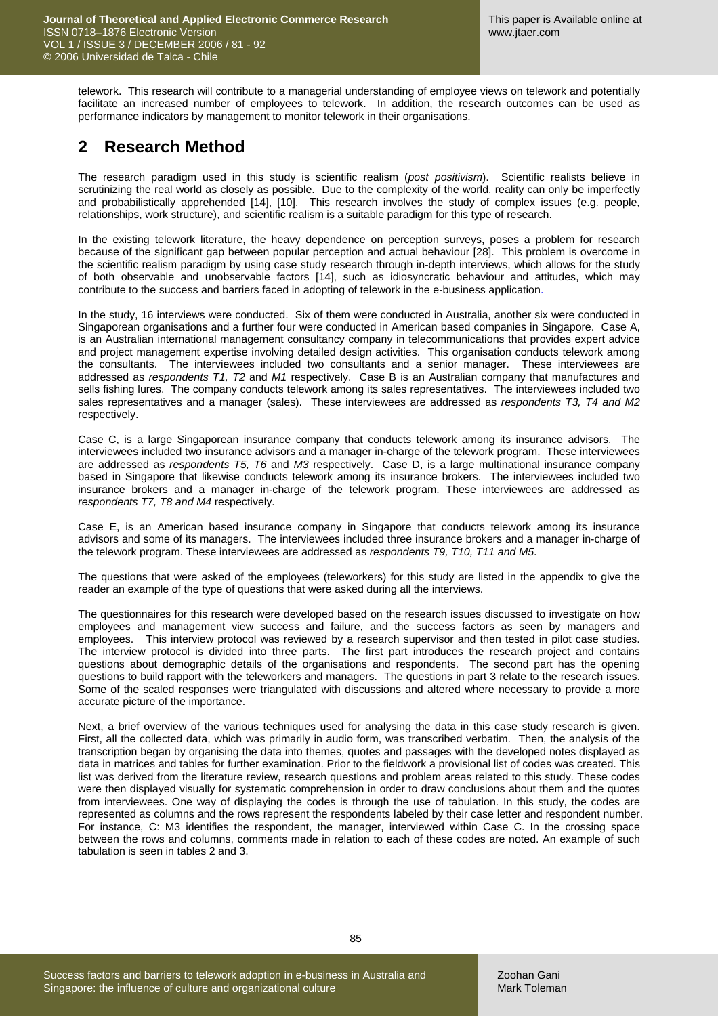telework. This research will contribute to a managerial understanding of employee views on telework and potentially facilitate an increased number of employees to telework. In addition, the research outcomes can be used as performance indicators by management to monitor telework in their organisations.

# **2 Research Method**

The research paradigm used in this study is scientific realism (*post positivism*). Scientific realists believe in scrutinizing the real world as closely as possible. Due to the complexity of the world, reality can only be imperfectly and probabilistically apprehended [14], [10]. This research involves the study of complex issues (e.g. people, relationships, work structure), and scientific realism is a suitable paradigm for this type of research.

In the existing telework literature, the heavy dependence on perception surveys, poses a problem for research because of the significant gap between popular perception and actual behaviour [28]. This problem is overcome in the scientific realism paradigm by using case study research through in-depth interviews, which allows for the study of both observable and unobservable factors [14], such as idiosyncratic behaviour and attitudes, which may contribute to the success and barriers faced in adopting of telework in the e-business application.

In the study, 16 interviews were conducted. Six of them were conducted in Australia, another six were conducted in Singaporean organisations and a further four were conducted in American based companies in Singapore. Case A, is an Australian international management consultancy company in telecommunications that provides expert advice and project management expertise involving detailed design activities. This organisation conducts telework among the consultants. The interviewees included two consultants and a senior manager. These interviewees are addressed as *respondents T1, T2* and *M1* respectively. Case B is an Australian company that manufactures and sells fishing lures. The company conducts telework among its sales representatives. The interviewees included two sales representatives and a manager (sales). These interviewees are addressed as *respondents T3, T4 and M2* respectively.

Case C, is a large Singaporean insurance company that conducts telework among its insurance advisors. The interviewees included two insurance advisors and a manager in-charge of the telework program. These interviewees are addressed as *respondents T5, T6* and *M3* respectively. Case D, is a large multinational insurance company based in Singapore that likewise conducts telework among its insurance brokers. The interviewees included two insurance brokers and a manager in-charge of the telework program. These interviewees are addressed as *respondents T7, T8 and M4* respectively.

Case E, is an American based insurance company in Singapore that conducts telework among its insurance advisors and some of its managers. The interviewees included three insurance brokers and a manager in-charge of the telework program. These interviewees are addressed as *respondents T9, T10, T11 and M5*.

The questions that were asked of the employees (teleworkers) for this study are listed in the appendix to give the reader an example of the type of questions that were asked during all the interviews.

The questionnaires for this research were developed based on the research issues discussed to investigate on how employees and management view success and failure, and the success factors as seen by managers and employees. This interview protocol was reviewed by a research supervisor and then tested in pilot case studies. The interview protocol is divided into three parts. The first part introduces the research project and contains questions about demographic details of the organisations and respondents. The second part has the opening questions to build rapport with the teleworkers and managers. The questions in part 3 relate to the research issues. Some of the scaled responses were triangulated with discussions and altered where necessary to provide a more accurate picture of the importance.

Next, a brief overview of the various techniques used for analysing the data in this case study research is given. First, all the collected data, which was primarily in audio form, was transcribed verbatim. Then, the analysis of the transcription began by organising the data into themes, quotes and passages with the developed notes displayed as data in matrices and tables for further examination. Prior to the fieldwork a provisional list of codes was created. This list was derived from the literature review, research questions and problem areas related to this study. These codes were then displayed visually for systematic comprehension in order to draw conclusions about them and the quotes from interviewees. One way of displaying the codes is through the use of tabulation. In this study, the codes are represented as columns and the rows represent the respondents labeled by their case letter and respondent number. For instance, C: M3 identifies the respondent, the manager, interviewed within Case C. In the crossing space between the rows and columns, comments made in relation to each of these codes are noted. An example of such tabulation is seen in tables 2 and 3.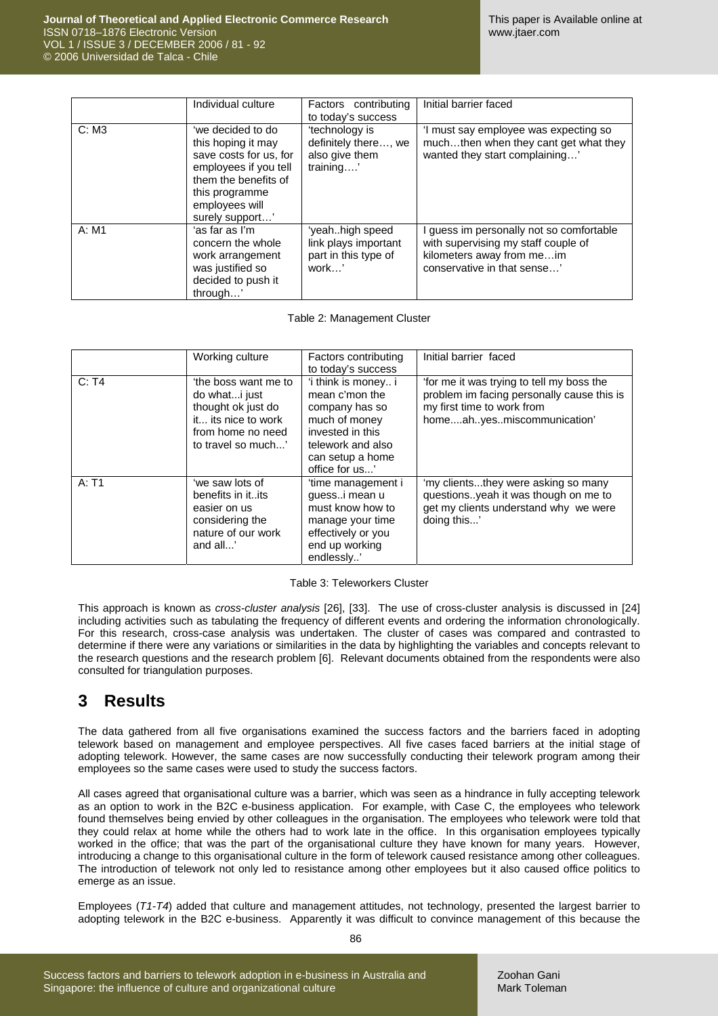|       | Individual culture                                                                                                                                                        | Factors contributing<br>to today's success                               | Initial barrier faced                                                                                                                     |
|-------|---------------------------------------------------------------------------------------------------------------------------------------------------------------------------|--------------------------------------------------------------------------|-------------------------------------------------------------------------------------------------------------------------------------------|
| C: M3 | 'we decided to do<br>this hoping it may<br>save costs for us, for<br>employees if you tell<br>them the benefits of<br>this programme<br>employees will<br>surely support' | 'technology is<br>definitely there, we<br>also give them<br>training'    | 'I must say employee was expecting so<br>muchthen when they cant get what they<br>wanted they start complaining'                          |
| A: M1 | ʻas far as I'm<br>concern the whole<br>work arrangement<br>was justified so<br>decided to push it<br>through'                                                             | 'yeahhigh speed<br>link plays important<br>part in this type of<br>work' | guess im personally not so comfortable<br>with supervising my staff couple of<br>kilometers away from meim<br>conservative in that sense' |

Table 2: Management Cluster

|       | Working culture                                                                                                               | Factors contributing<br>to today's success                                                                                                              | Initial barrier faced                                                                                                                              |
|-------|-------------------------------------------------------------------------------------------------------------------------------|---------------------------------------------------------------------------------------------------------------------------------------------------------|----------------------------------------------------------------------------------------------------------------------------------------------------|
| C: T4 | 'the boss want me to<br>do whati just<br>thought ok just do<br>it its nice to work<br>from home no need<br>to travel so much' | 'i think is money i<br>mean c'mon the<br>company has so<br>much of money<br>invested in this<br>telework and also<br>can setup a home<br>office for us' | for me it was trying to tell my boss the<br>problem im facing personally cause this is<br>my first time to work from<br>homeahyesmiscommunication' |
| A: T1 | 'we saw lots of<br>benefits in itits<br>easier on us<br>considering the<br>nature of our work<br>and all'                     | 'time management i<br>guessi mean u<br>must know how to<br>manage your time<br>effectively or you<br>end up working<br>endlessly'                       | 'my clientsthey were asking so many<br>questionsyeah it was though on me to<br>get my clients understand why we were<br>doing this'                |

#### Table 3: Teleworkers Cluster

This approach is known as *cross-cluster analysis* [26], [33]. The use of cross-cluster analysis is discussed in [24] including activities such as tabulating the frequency of different events and ordering the information chronologically. For this research, cross-case analysis was undertaken. The cluster of cases was compared and contrasted to determine if there were any variations or similarities in the data by highlighting the variables and concepts relevant to the research questions and the research problem [6]. Relevant documents obtained from the respondents were also consulted for triangulation purposes.

### **3 Results**

The data gathered from all five organisations examined the success factors and the barriers faced in adopting telework based on management and employee perspectives. All five cases faced barriers at the initial stage of adopting telework. However, the same cases are now successfully conducting their telework program among their employees so the same cases were used to study the success factors.

All cases agreed that organisational culture was a barrier, which was seen as a hindrance in fully accepting telework as an option to work in the B2C e-business application. For example, with Case C, the employees who telework found themselves being envied by other colleagues in the organisation. The employees who telework were told that they could relax at home while the others had to work late in the office. In this organisation employees typically worked in the office; that was the part of the organisational culture they have known for many years. However, introducing a change to this organisational culture in the form of telework caused resistance among other colleagues. The introduction of telework not only led to resistance among other employees but it also caused office politics to emerge as an issue.

Employees (*T1-T4*) added that culture and management attitudes, not technology, presented the largest barrier to adopting telework in the B2C e-business. Apparently it was difficult to convince management of this because the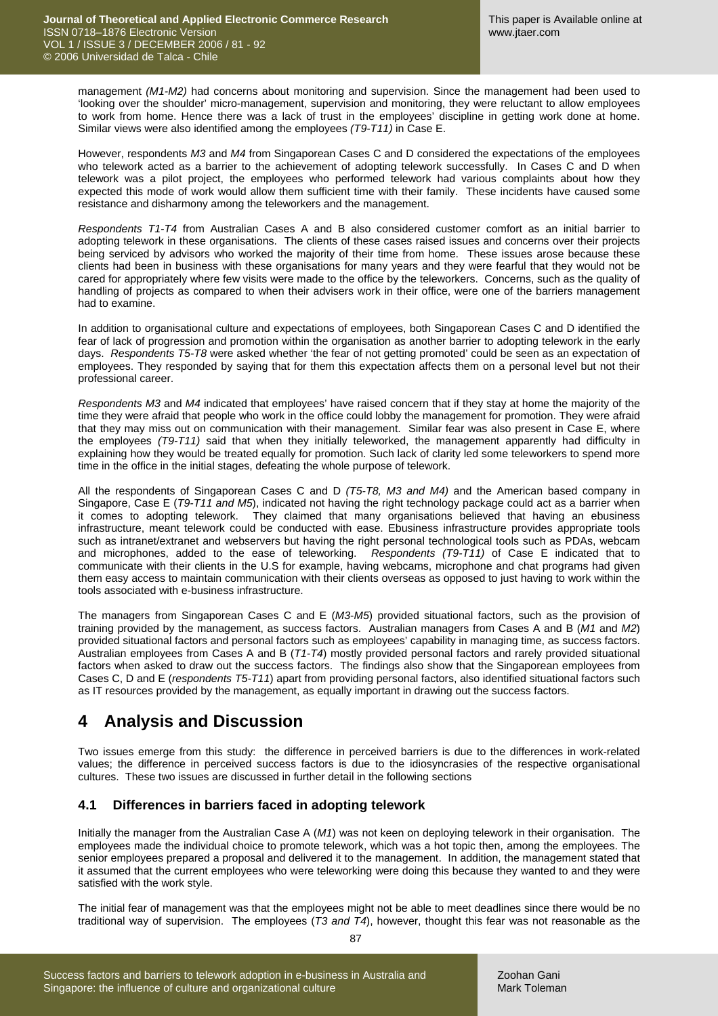management *(M1-M2)* had concerns about monitoring and supervision. Since the management had been used to 'looking over the shoulder' micro-management, supervision and monitoring, they were reluctant to allow employees to work from home. Hence there was a lack of trust in the employees' discipline in getting work done at home. Similar views were also identified among the employees *(T9-T11)* in Case E.

However, respondents *M3* and *M4* from Singaporean Cases C and D considered the expectations of the employees who telework acted as a barrier to the achievement of adopting telework successfully. In Cases C and D when telework was a pilot project, the employees who performed telework had various complaints about how they expected this mode of work would allow them sufficient time with their family. These incidents have caused some resistance and disharmony among the teleworkers and the management.

*Respondents T1-T4* from Australian Cases A and B also considered customer comfort as an initial barrier to adopting telework in these organisations. The clients of these cases raised issues and concerns over their projects being serviced by advisors who worked the majority of their time from home. These issues arose because these clients had been in business with these organisations for many years and they were fearful that they would not be cared for appropriately where few visits were made to the office by the teleworkers. Concerns, such as the quality of handling of projects as compared to when their advisers work in their office, were one of the barriers management had to examine.

In addition to organisational culture and expectations of employees, both Singaporean Cases C and D identified the fear of lack of progression and promotion within the organisation as another barrier to adopting telework in the early days. *Respondents T5-T8* were asked whether 'the fear of not getting promoted' could be seen as an expectation of employees. They responded by saying that for them this expectation affects them on a personal level but not their professional career.

*Respondents M3* and *M4* indicated that employees' have raised concern that if they stay at home the majority of the time they were afraid that people who work in the office could lobby the management for promotion. They were afraid that they may miss out on communication with their management. Similar fear was also present in Case E, where the employees *(T9-T11)* said that when they initially teleworked, the management apparently had difficulty in explaining how they would be treated equally for promotion. Such lack of clarity led some teleworkers to spend more time in the office in the initial stages, defeating the whole purpose of telework.

All the respondents of Singaporean Cases C and D *(T5-T8, M3 and M4)* and the American based company in Singapore, Case E (*T9-T11 and M5*), indicated not having the right technology package could act as a barrier when it comes to adopting telework. They claimed that many organisations believed that having an ebusiness infrastructure, meant telework could be conducted with ease. Ebusiness infrastructure provides appropriate tools such as intranet/extranet and webservers but having the right personal technological tools such as PDAs, webcam and microphones, added to the ease of teleworking. *Respondents (T9-T11)* of Case E indicated that to communicate with their clients in the U.S for example, having webcams, microphone and chat programs had given them easy access to maintain communication with their clients overseas as opposed to just having to work within the tools associated with e-business infrastructure.

The managers from Singaporean Cases C and E (*M3*-*M5*) provided situational factors, such as the provision of training provided by the management, as success factors. Australian managers from Cases A and B (*M1* and *M2*) provided situational factors and personal factors such as employees' capability in managing time, as success factors. Australian employees from Cases A and B (*T1-T4*) mostly provided personal factors and rarely provided situational factors when asked to draw out the success factors. The findings also show that the Singaporean employees from Cases C, D and E (*respondents T5-T11*) apart from providing personal factors, also identified situational factors such as IT resources provided by the management, as equally important in drawing out the success factors.

## **4 Analysis and Discussion**

Two issues emerge from this study: the difference in perceived barriers is due to the differences in work-related values; the difference in perceived success factors is due to the idiosyncrasies of the respective organisational cultures. These two issues are discussed in further detail in the following sections

### **4.1 Differences in barriers faced in adopting telework**

Initially the manager from the Australian Case A (*M1*) was not keen on deploying telework in their organisation. The employees made the individual choice to promote telework, which was a hot topic then, among the employees. The senior employees prepared a proposal and delivered it to the management. In addition, the management stated that it assumed that the current employees who were teleworking were doing this because they wanted to and they were satisfied with the work style.

The initial fear of management was that the employees might not be able to meet deadlines since there would be no traditional way of supervision. The employees (*T3 and T4*), however, thought this fear was not reasonable as the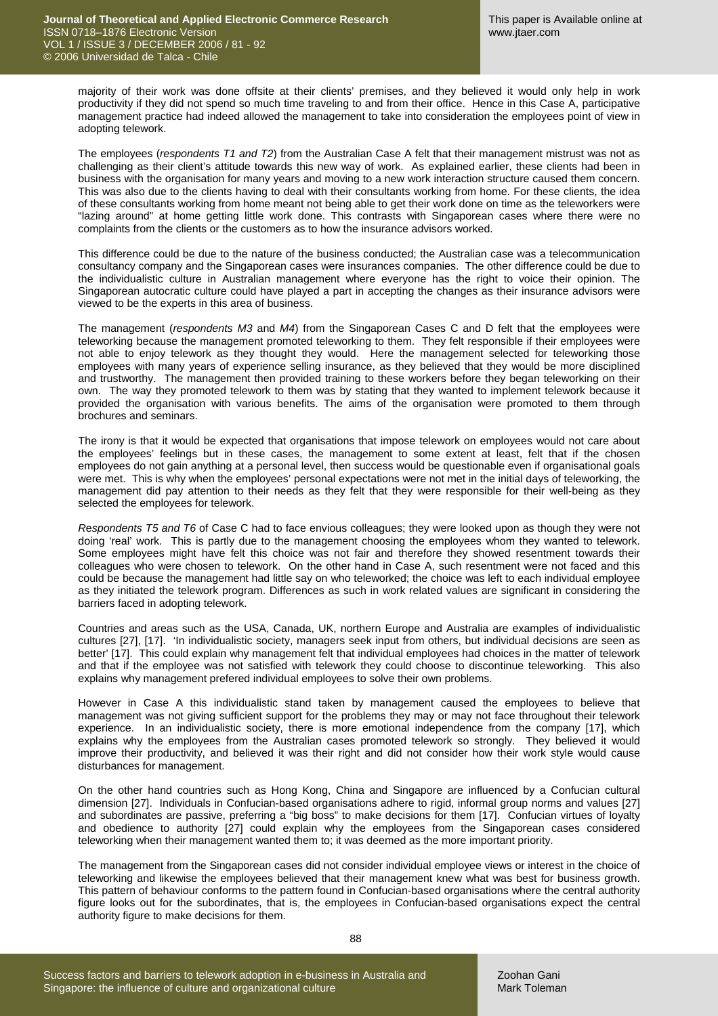majority of their work was done offsite at their clients' premises, and they believed it would only help in work productivity if they did not spend so much time traveling to and from their office. Hence in this Case A, participative management practice had indeed allowed the management to take into consideration the employees point of view in adopting telework.

The employees (*respondents T1 and T2*) from the Australian Case A felt that their management mistrust was not as challenging as their client's attitude towards this new way of work. As explained earlier, these clients had been in business with the organisation for many years and moving to a new work interaction structure caused them concern. This was also due to the clients having to deal with their consultants working from home. For these clients, the idea of these consultants working from home meant not being able to get their work done on time as the teleworkers were "lazing around" at home getting little work done. This contrasts with Singaporean cases where there were no complaints from the clients or the customers as to how the insurance advisors worked.

This difference could be due to the nature of the business conducted; the Australian case was a telecommunication consultancy company and the Singaporean cases were insurances companies. The other difference could be due to the individualistic culture in Australian management where everyone has the right to voice their opinion. The Singaporean autocratic culture could have played a part in accepting the changes as their insurance advisors were viewed to be the experts in this area of business.

The management (*respondents M3* and *M4*) from the Singaporean Cases C and D felt that the employees were teleworking because the management promoted teleworking to them. They felt responsible if their employees were not able to enjoy telework as they thought they would. Here the management selected for teleworking those employees with many years of experience selling insurance, as they believed that they would be more disciplined and trustworthy. The management then provided training to these workers before they began teleworking on their own. The way they promoted telework to them was by stating that they wanted to implement telework because it provided the organisation with various benefits. The aims of the organisation were promoted to them through brochures and seminars.

The irony is that it would be expected that organisations that impose telework on employees would not care about the employees' feelings but in these cases, the management to some extent at least, felt that if the chosen employees do not gain anything at a personal level, then success would be questionable even if organisational goals were met. This is why when the employees' personal expectations were not met in the initial days of teleworking, the management did pay attention to their needs as they felt that they were responsible for their well-being as they selected the employees for telework.

*R*e*spondents T5 and T6* of Case C had to face envious colleagues; they were looked upon as though they were not doing 'real' work. This is partly due to the management choosing the employees whom they wanted to telework. Some employees might have felt this choice was not fair and therefore they showed resentment towards their colleagues who were chosen to telework. On the other hand in Case A, such resentment were not faced and this could be because the management had little say on who teleworked; the choice was left to each individual employee as they initiated the telework program. Differences as such in work related values are significant in considering the barriers faced in adopting telework.

Countries and areas such as the USA, Canada, UK, northern Europe and Australia are examples of individualistic cultures [27], [17]. 'In individualistic society, managers seek input from others, but individual decisions are seen as better' [17]. This could explain why management felt that individual employees had choices in the matter of telework and that if the employee was not satisfied with telework they could choose to discontinue teleworking. This also explains why management prefered individual employees to solve their own problems.

However in Case A this individualistic stand taken by management caused the employees to believe that management was not giving sufficient support for the problems they may or may not face throughout their telework experience. In an individualistic society, there is more emotional independence from the company [17], which explains why the employees from the Australian cases promoted telework so strongly. They believed it would improve their productivity, and believed it was their right and did not consider how their work style would cause disturbances for management.

On the other hand countries such as Hong Kong, China and Singapore are influenced by a Confucian cultural dimension [27]. Individuals in Confucian-based organisations adhere to rigid, informal group norms and values [27] and subordinates are passive, preferring a "big boss" to make decisions for them [17]. Confucian virtues of loyalty and obedience to authority [27] could explain why the employees from the Singaporean cases considered teleworking when their management wanted them to; it was deemed as the more important priority.

The management from the Singaporean cases did not consider individual employee views or interest in the choice of teleworking and likewise the employees believed that their management knew what was best for business growth. This pattern of behaviour conforms to the pattern found in Confucian-based organisations where the central authority figure looks out for the subordinates, that is, the employees in Confucian-based organisations expect the central authority figure to make decisions for them.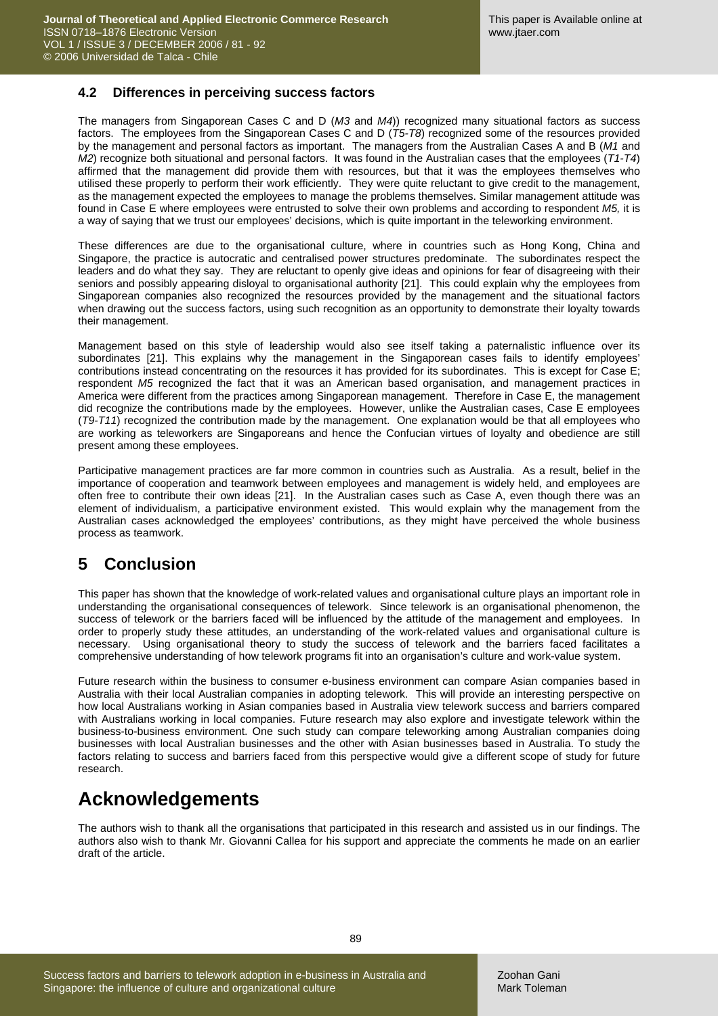#### **4.2 Differences in perceiving success factors**

The managers from Singaporean Cases C and D (*M3* and *M4*)) recognized many situational factors as success factors. The employees from the Singaporean Cases C and D (*T5-T8*) recognized some of the resources provided by the management and personal factors as important. The managers from the Australian Cases A and B (*M1* and *M2*) recognize both situational and personal factors. It was found in the Australian cases that the employees (*T1-T4*) affirmed that the management did provide them with resources, but that it was the employees themselves who utilised these properly to perform their work efficiently. They were quite reluctant to give credit to the management, as the management expected the employees to manage the problems themselves. Similar management attitude was found in Case E where employees were entrusted to solve their own problems and according to respondent *M5,* it is a way of saying that we trust our employees' decisions, which is quite important in the teleworking environment.

These differences are due to the organisational culture, where in countries such as Hong Kong, China and Singapore, the practice is autocratic and centralised power structures predominate. The subordinates respect the leaders and do what they say. They are reluctant to openly give ideas and opinions for fear of disagreeing with their seniors and possibly appearing disloyal to organisational authority [21]. This could explain why the employees from Singaporean companies also recognized the resources provided by the management and the situational factors when drawing out the success factors, using such recognition as an opportunity to demonstrate their loyalty towards their management.

Management based on this style of leadership would also see itself taking a paternalistic influence over its subordinates [21]. This explains why the management in the Singaporean cases fails to identify employees' contributions instead concentrating on the resources it has provided for its subordinates. This is except for Case E; respondent *M5* recognized the fact that it was an American based organisation, and management practices in America were different from the practices among Singaporean management. Therefore in Case E, the management did recognize the contributions made by the employees. However, unlike the Australian cases, Case E employees (*T9-T11*) recognized the contribution made by the management. One explanation would be that all employees who are working as teleworkers are Singaporeans and hence the Confucian virtues of loyalty and obedience are still present among these employees.

Participative management practices are far more common in countries such as Australia. As a result, belief in the importance of cooperation and teamwork between employees and management is widely held, and employees are often free to contribute their own ideas [21]. In the Australian cases such as Case A, even though there was an element of individualism, a participative environment existed. This would explain why the management from the Australian cases acknowledged the employees' contributions, as they might have perceived the whole business process as teamwork.

### **5 Conclusion**

This paper has shown that the knowledge of work-related values and organisational culture plays an important role in understanding the organisational consequences of telework. Since telework is an organisational phenomenon, the success of telework or the barriers faced will be influenced by the attitude of the management and employees. In order to properly study these attitudes, an understanding of the work-related values and organisational culture is necessary. Using organisational theory to study the success of telework and the barriers faced facilitates a comprehensive understanding of how telework programs fit into an organisation's culture and work-value system.

Future research within the business to consumer e-business environment can compare Asian companies based in Australia with their local Australian companies in adopting telework. This will provide an interesting perspective on how local Australians working in Asian companies based in Australia view telework success and barriers compared with Australians working in local companies. Future research may also explore and investigate telework within the business-to-business environment. One such study can compare teleworking among Australian companies doing businesses with local Australian businesses and the other with Asian businesses based in Australia. To study the factors relating to success and barriers faced from this perspective would give a different scope of study for future research.

# **Acknowledgements**

The authors wish to thank all the organisations that participated in this research and assisted us in our findings. The authors also wish to thank Mr. Giovanni Callea for his support and appreciate the comments he made on an earlier draft of the article.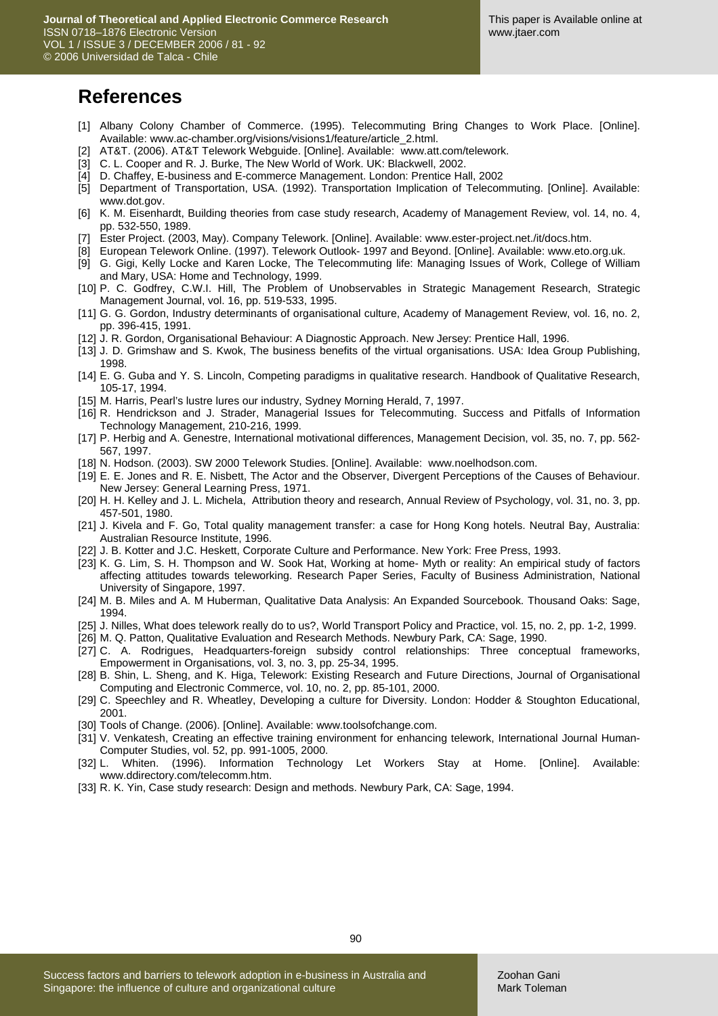### **References**

- [1] Albany Colony Chamber of Commerce. (1995). Telecommuting Bring Changes to Work Place. [Online]. Available: www.ac-chamber.org/visions/visions1/feature/article\_2.html.
- [2] AT&T. (2006). AT&T Telework Webguide. [Online]. Available: www.att.com/telework.
- [3] C. L. Cooper and R. J. Burke, The New World of Work. UK: Blackwell, 2002.
- [4] D. Chaffey, E-business and E-commerce Management. London: Prentice Hall, 2002
- [5] Department of Transportation, USA. (1992). Transportation Implication of Telecommuting. [Online]. Available: www.dot.gov.
- [6] K. M. Eisenhardt, Building theories from case study research, Academy of Management Review, vol. 14, no. 4, pp. 532-550, 1989.
- [7] Ester Project. (2003, May). Company Telework. [Online]. Available: www.ester-project.net./it/docs.htm.
- [8] European Telework Online. (1997). Telework Outlook- 1997 and Beyond. [Online]. Available: www.eto.org.uk.
- [9] G. Gigi, Kelly Locke and Karen Locke, The Telecommuting life: Managing Issues of Work, College of William and Mary, USA: Home and Technology, 1999.
- [10] P. C. Godfrey, C.W.I. Hill, The Problem of Unobservables in Strategic Management Research, Strategic Management Journal, vol. 16, pp. 519-533, 1995.
- [11] G. G. Gordon, Industry determinants of organisational culture, Academy of Management Review, vol. 16, no. 2, pp. 396-415, 1991.
- [12] J. R. Gordon, Organisational Behaviour: A Diagnostic Approach. New Jersey: Prentice Hall, 1996.
- [13] J. D. Grimshaw and S. Kwok, The business benefits of the virtual organisations. USA: Idea Group Publishing, 1998.
- [14] E. G. Guba and Y. S. Lincoln, Competing paradigms in qualitative research. Handbook of Qualitative Research, 105-17, 1994.
- [15] M. Harris, Pearl's lustre lures our industry, Sydney Morning Herald, 7, 1997.
- [16] R. Hendrickson and J. Strader, Managerial Issues for Telecommuting. Success and Pitfalls of Information Technology Management, 210-216, 1999.
- [17] P. Herbig and A. Genestre, International motivational differences, Management Decision, vol. 35, no. 7, pp. 562- 567, 1997.
- [18] N. Hodson. (2003). SW 2000 Telework Studies. [Online]. Available: www.noelhodson.com.
- [19] E. E. Jones and R. E. Nisbett, The Actor and the Observer, Divergent Perceptions of the Causes of Behaviour. New Jersey: General Learning Press, 1971.
- [20] H. H. Kelley and J. L. Michela, Attribution theory and research, Annual Review of Psychology, vol. 31, no. 3, pp. 457-501, 1980.
- [21] J. Kivela and F. Go, Total quality management transfer: a case for Hong Kong hotels. Neutral Bay, Australia: Australian Resource Institute, 1996.
- [22] J. B. Kotter and J.C. Heskett, Corporate Culture and Performance. New York: Free Press, 1993.
- [23] K. G. Lim, S. H. Thompson and W. Sook Hat, Working at home- Myth or reality: An empirical study of factors affecting attitudes towards teleworking. Research Paper Series, Faculty of Business Administration, National University of Singapore, 1997.
- [24] M. B. Miles and A. M Huberman, Qualitative Data Analysis: An Expanded Sourcebook. Thousand Oaks: Sage, 1994.
- [25] J. Nilles, What does telework really do to us?, World Transport Policy and Practice, vol. 15, no. 2, pp. 1-2, 1999.
- [26] M. Q. Patton, Qualitative Evaluation and Research Methods. Newbury Park, CA: Sage, 1990.
- [27] C. A. Rodrigues, Headquarters-foreign subsidy control relationships: Three conceptual frameworks, Empowerment in Organisations, vol. 3, no. 3, pp. 25-34, 1995.
- [28] B. Shin, L. Sheng, and K. Higa, Telework: Existing Research and Future Directions, Journal of Organisational Computing and Electronic Commerce, vol. 10, no. 2, pp. 85-101, 2000.
- [29] C. Speechley and R. Wheatley, Developing a culture for Diversity. London: Hodder & Stoughton Educational, 2001.
- [30] Tools of Change. (2006). [Online]. Available: www.toolsofchange.com.
- [31] V. Venkatesh, Creating an effective training environment for enhancing telework, International Journal Human-Computer Studies, vol. 52, pp. 991-1005, 2000.
- [32] L. Whiten. (1996). Information Technology Let Workers Stay at Home. [Online]. Available: www.ddirectory.com/telecomm.htm.
- [33] R. K. Yin, Case study research: Design and methods. Newbury Park, CA: Sage, 1994.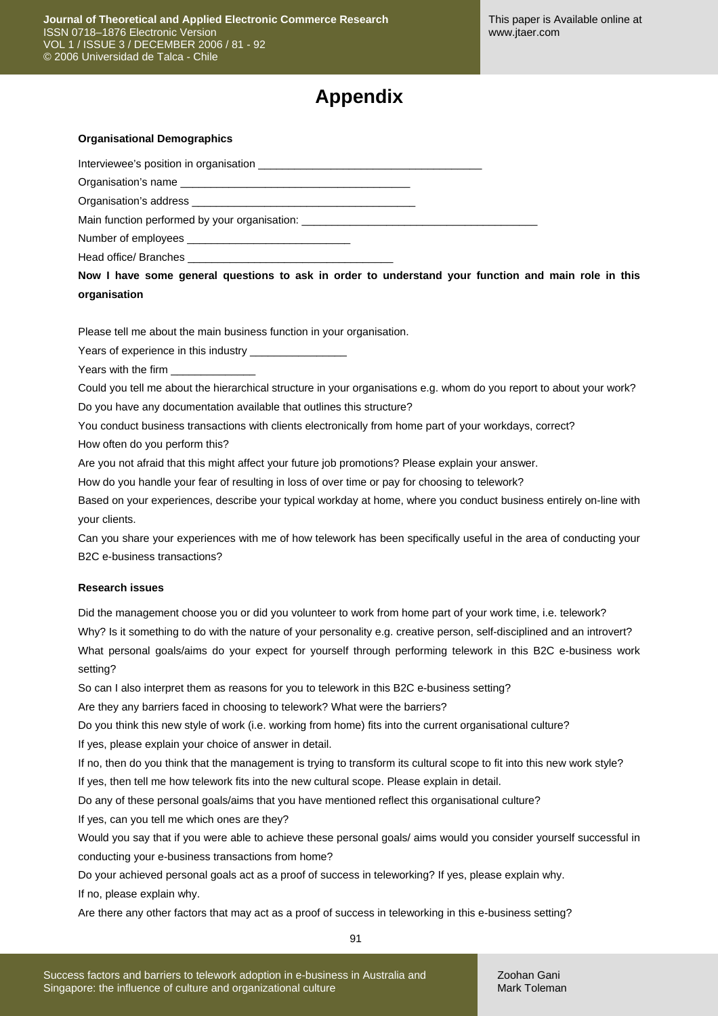# **Appendix**

#### **Organisational Demographics**

Interviewee's position in organisation \_\_\_\_\_\_

Organisation's name

Organisation's address

Main function performed by your organisation:

Number of employees \_

Head office/ Branches \_

**Now I have some general questions to ask in order to understand your function and main role in this organisation** 

Please tell me about the main business function in your organisation.

Years of experience in this industry

Years with the firm

Could you tell me about the hierarchical structure in your organisations e.g. whom do you report to about your work? Do you have any documentation available that outlines this structure?

You conduct business transactions with clients electronically from home part of your workdays, correct?

How often do you perform this?

Are you not afraid that this might affect your future job promotions? Please explain your answer.

How do you handle your fear of resulting in loss of over time or pay for choosing to telework?

Based on your experiences, describe your typical workday at home, where you conduct business entirely on-line with your clients.

Can you share your experiences with me of how telework has been specifically useful in the area of conducting your B2C e-business transactions?

#### **Research issues**

Did the management choose you or did you volunteer to work from home part of your work time, i.e. telework? Why? Is it something to do with the nature of your personality e.g. creative person, self-disciplined and an introvert? What personal goals/aims do your expect for yourself through performing telework in this B2C e-business work setting?

So can I also interpret them as reasons for you to telework in this B2C e-business setting?

Are they any barriers faced in choosing to telework? What were the barriers?

Do you think this new style of work (i.e. working from home) fits into the current organisational culture?

If yes, please explain your choice of answer in detail.

If no, then do you think that the management is trying to transform its cultural scope to fit into this new work style? If yes, then tell me how telework fits into the new cultural scope. Please explain in detail.

Do any of these personal goals/aims that you have mentioned reflect this organisational culture?

If yes, can you tell me which ones are they?

Would you say that if you were able to achieve these personal goals/ aims would you consider yourself successful in conducting your e-business transactions from home?

Do your achieved personal goals act as a proof of success in teleworking? If yes, please explain why. If no, please explain why.

Are there any other factors that may act as a proof of success in teleworking in this e-business setting?